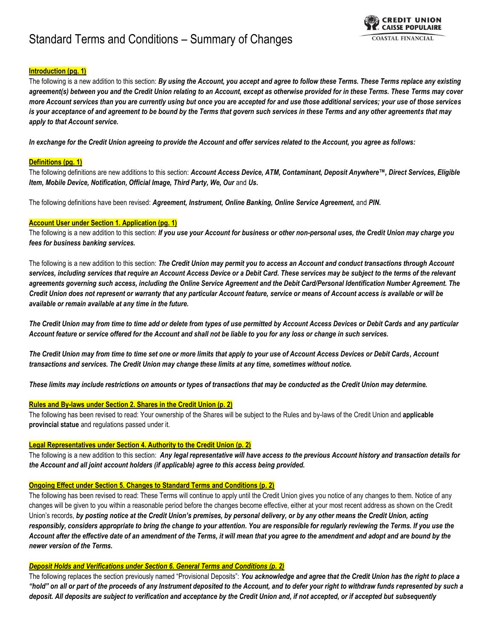# Standard Terms and Conditions – Summary of Changes



# **Introduction (pg. 1)**

The following is a new addition to this section: *By using the Account, you accept and agree to follow these Terms. These Terms replace any existing agreement(s) between you and the Credit Union relating to an Account, except as otherwise provided for in these Terms. These Terms may cover more Account services than you are currently using but once you are accepted for and use those additional services; your use of those services*  is your acceptance of and agreement to be bound by the Terms that govern such services in these Terms and any other agreements that may *apply to that Account service.* 

*In exchange for the Credit Union agreeing to provide the Account and offer services related to the Account, you agree as follows:*

## **Definitions (pg. 1)**

The following definitions are new additions to this section: *Account Access Device, ATM, Contaminant, Deposit Anywhere™, Direct Services, Eligible Item, Mobile Device, Notification, Official Image, Third Party, We, Our and Us.* 

The following definitions have been revised: *Agreement, Instrument, Online Banking, Online Service Agreement,* and *PIN***.**

#### **Account User under Section 1. Application (pg. 1)**

The following is a new addition to this section: *If you use your Account for business or other non-personal uses, the Credit Union may charge you fees for business banking services.*

The following is a new addition to this section: *The Credit Union may permit you to access an Account and conduct transactions through Account services, including services that require an Account Access Device or a Debit Card. These services may be subject to the terms of the relevant agreements governing such access, including the Online Service Agreement and the Debit Card/Personal Identification Number Agreement. The Credit Union does not represent or warranty that any particular Account feature, service or means of Account access is available or will be available or remain available at any time in the future.*

*The Credit Union may from time to time add or delete from types of use permitted by Account Access Devices or Debit Cards and any particular Account feature or service offered for the Account and shall not be liable to you for any loss or change in such services.*

*The Credit Union may from time to time set one or more limits that apply to your use of Account Access Devices or Debit Cards, Account transactions and services. The Credit Union may change these limits at any time, sometimes without notice.* 

*These limits may include restrictions on amounts or types of transactions that may be conducted as the Credit Union may determine.*

#### **Rules and By-laws under Section 2. Shares in the Credit Union (p. 2)**

The following has been revised to read: Your ownership of the Shares will be subject to the Rules and by-laws of the Credit Union and **applicable provincial statue** and regulations passed under it.

## **Legal Representatives under Section 4. Authority to the Credit Union (p. 2)**

The following is a new addition to this section: *Any legal representative will have access to the previous Account history and transaction details for the Account and all joint account holders (if applicable) agree to this access being provided.*

#### **Ongoing Effect under Section 5. Changes to Standard Terms and Conditions (p. 2)**

The following has been revised to read: These Terms will continue to apply until the Credit Union gives you notice of any changes to them. Notice of any changes will be given to you within a reasonable period before the changes become effective, either at your most recent address as shown on the Credit Union's records, *by posting notice at the Credit Union's premises, by personal delivery, or by any other means the Credit Union, acting responsibly, considers appropriate to bring the change to your attention. You are responsible for regularly reviewing the Terms. If you use the Account after the effective date of an amendment of the Terms, it will mean that you agree to the amendment and adopt and are bound by the newer version of the Terms.*

#### *Deposit Holds and Verifications under Section 6. General Terms and Conditions (p. 2)*

The following replaces the section previously named "Provisional Deposits": *You acknowledge and agree that the Credit Union has the right to place a "hold" on all or part of the proceeds of any Instrument deposited to the Account, and to defer your right to withdraw funds represented by such a deposit. All deposits are subject to verification and acceptance by the Credit Union and, if not accepted, or if accepted but subsequently*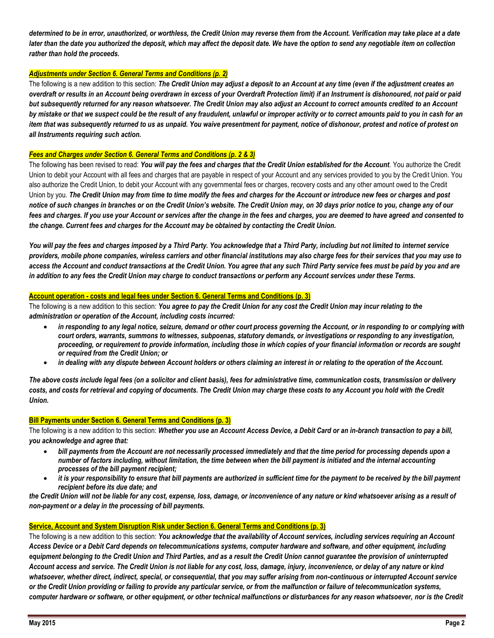*determined to be in error, unauthorized, or worthless, the Credit Union may reverse them from the Account. Verification may take place at a date later than the date you authorized the deposit, which may affect the deposit date. We have the option to send any negotiable item on collection rather than hold the proceeds.*

## *Adjustments under Section 6. General Terms and Conditions (p. 2)*

The following is a new addition to this section: *The Credit Union may adjust a deposit to an Account at any time (even if the adjustment creates an overdraft or results in an Account being overdrawn in excess of your Overdraft Protection limit) if an Instrument is dishonoured, not paid or paid but subsequently returned for any reason whatsoever. The Credit Union may also adjust an Account to correct amounts credited to an Account by mistake or that we suspect could be the result of any fraudulent, unlawful or improper activity or to correct amounts paid to you in cash for an item that was subsequently returned to us as unpaid. You waive presentment for payment, notice of dishonour, protest and notice of protest on all Instruments requiring such action.*

# *Fees and Charges under Section 6. General Terms and Conditions (p. 2 & 3)*

The following has been revised to read: *You will pay the fees and charges that the Credit Union established for the Account.* You authorize the Credit Union to debit your Account with all fees and charges that are payable in respect of your Account and any services provided to you by the Credit Union. You also authorize the Credit Union, to debit your Account with any governmental fees or charges, recovery costs and any other amount owed to the Credit Union by you. *The Credit Union may from time to time modify the fees and charges for the Account or introduce new fees or charges and post*  notice of such changes in branches or on the Credit Union's website. The Credit Union may, on 30 days prior notice to you, change any of our *fees and charges. If you use your Account or services after the change in the fees and charges, you are deemed to have agreed and consented to the change. Current fees and charges for the Account may be obtained by contacting the Credit Union.*

*You will pay the fees and charges imposed by a Third Party. You acknowledge that a Third Party, including but not limited to internet service providers, mobile phone companies, wireless carriers and other financial institutions may also charge fees for their services that you may use to access the Account and conduct transactions at the Credit Union. You agree that any such Third Party service fees must be paid by you and are in addition to any fees the Credit Union may charge to conduct transactions or perform any Account services under these Terms.*

## **Account operation - costs and legal fees under Section 6. General Terms and Conditions (p. 3)**

The following is a new addition to this section: *You agree to pay the Credit Union for any cost the Credit Union may incur relating to the administration or operation of the Account, including costs incurred:*

- *in responding to any legal notice, seizure, demand or other court process governing the Account, or in responding to or complying with court orders, warrants, summons to witnesses, subpoenas, statutory demands, or investigations or responding to any investigation, proceeding, or requirement to provide information, including those in which copies of your financial information or records are sought or required from the Credit Union; or*
- *in dealing with any dispute between Account holders or others claiming an interest in or relating to the operation of the Account.*

*The above costs include legal fees (on a solicitor and client basis), fees for administrative time, communication costs, transmission or delivery costs, and costs for retrieval and copying of documents. The Credit Union may charge these costs to any Account you hold with the Credit Union.*

## **Bill Payments under Section 6. General Terms and Conditions (p. 3)**

The following is a new addition to this section: *Whether you use an Account Access Device, a Debit Card or an in-branch transaction to pay a bill, you acknowledge and agree that:* 

- *bill payments from the Account are not necessarily processed immediately and that the time period for processing depends upon a number of factors including, without limitation, the time between when the bill payment is initiated and the internal accounting processes of the bill payment recipient;*
- *it is your responsibility to ensure that bill payments are authorized in sufficient time for the payment to be received by the bill payment recipient before its due date; and*

*the Credit Union will not be liable for any cost, expense, loss, damage, or inconvenience of any nature or kind whatsoever arising as a result of non-payment or a delay in the processing of bill payments.*

## **Service, Account and System Disruption Risk under Section 6. General Terms and Conditions (p. 3)**

The following is a new addition to this section: *You acknowledge that the availability of Account services, including services requiring an Account Access Device or a Debit Card depends on telecommunications systems, computer hardware and software, and other equipment, including* equipment belonging to the Credit Union and Third Parties, and as a result the Credit Union cannot quarantee the provision of *uninterrupted Account access and service. The Credit Union is not liable for any cost, loss, damage, injury, inconvenience, or delay of any nature or kind whatsoever, whether direct, indirect, special, or consequential, that you may suffer arising from non-continuous or interrupted Account service or the Credit Union providing or failing to provide any particular service, or from the malfunction or failure of telecommunication systems, computer hardware or software, or other equipment, or other technical malfunctions or disturbances for any reason whatsoever, nor is the Credit*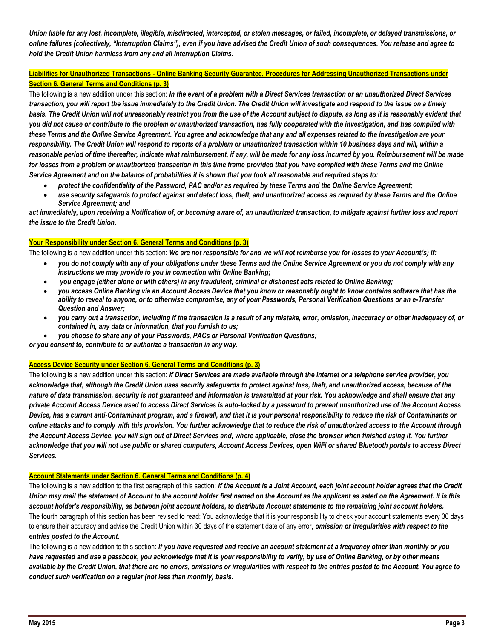*Union liable for any lost, incomplete, illegible, misdirected, intercepted, or stolen messages, or failed, incomplete, or delayed transmissions, or online failures (collectively, "Interruption Claims"), even if you have advised the Credit Union of such consequences. You release and agree to hold the Credit Union harmless from any and all Interruption Claims.*

# **Liabilities for Unauthorized Transactions - Online Banking Security Guarantee, Procedures for Addressing Unauthorized Transactions under Section 6. General Terms and Conditions (p. 3)**

The following is a new addition under this section: *In the event of a problem with a Direct Services transaction or an unauthorized Direct Services transaction, you will report the issue immediately to the Credit Union. The Credit Union will investigate and respond to the issue on a timely basis. The Credit Union will not unreasonably restrict you from the use of the Account subject to dispute, as long as it is reasonably evident that you did not cause or contribute to the problem or unauthorized transaction, has fully cooperated with the investigation, and has complied with these Terms and the Online Service Agreement. You agree and acknowledge that any and all expenses related to the investigation are your responsibility. The Credit Union will respond to reports of a problem or unauthorized transaction within 10 business days and will, within a reasonable period of time thereafter, indicate what reimbursement, if any, will be made for any loss incurred by you. Reimbursement will be made for losses from a problem or unauthorized transaction in this time frame provided that you have complied with these Terms and the Online Service Agreement and on the balance of probabilities it is shown that you took all reasonable and required steps to:* 

- *protect the confidentiality of the Password, PAC and/or as required by these Terms and the Online Service Agreement;*
- *use security safeguards to protect against and detect loss, theft, and unauthorized access as required by these Terms and the Online Service Agreement; and*

*act immediately, upon receiving a Notification of, or becoming aware of, an unauthorized transaction, to mitigate against further loss and report the issue to the Credit Union.*

# **Your Responsibility under Section 6. General Terms and Conditions (p. 3)**

The following is a new addition under this section: *We are not responsible for and we will not reimburse you for losses to your Account(s) if:*

- *you do not comply with any of your obligations under these Terms and the Online Service Agreement or you do not comply with any instructions we may provide to you in connection with Online Banking;*
- *you engage (either alone or with others) in any fraudulent, criminal or dishonest acts related to Online Banking;*
- *you access Online Banking via an Account Access Device that you know or reasonably ought to know contains software that has the ability to reveal to anyone, or to otherwise compromise, any of your Passwords, Personal Verification Questions or an e-Transfer Question and Answer;*
- *you carry out a transaction, including if the transaction is a result of any mistake, error, omission, inaccuracy or other inadequacy of, or contained in, any data or information, that you furnish to us;*
- *you choose to share any of your Passwords, PACs or Personal Verification Questions;*

*or you consent to, contribute to or authorize a transaction in any way.*

## **Access Device Security under Section 6. General Terms and Conditions (p. 3)**

The following is a new addition under this section: *If Direct Services are made available through the Internet or a telephone service provider, you acknowledge that, although the Credit Union uses security safeguards to protect against loss, theft, and unauthorized access, because of the nature of data transmission, security is not guaranteed and information is transmitted at your risk. You acknowledge and shall ensure that any private Account Access Device used to access Direct Services is auto-locked by a password to prevent unauthorized use of the Account Access Device, has a current anti-Contaminant program, and a firewall, and that it is your personal responsibility to reduce the risk of Contaminants or online attacks and to comply with this provision. You further acknowledge that to reduce the risk of unauthorized access to the Account through the Account Access Device, you will sign out of Direct Services and, where applicable, close the browser when finished using it. You further acknowledge that you will not use public or shared computers, Account Access Devices, open WiFi or shared Bluetooth portals to access Direct Services.*

## **Account Statements under Section 6. General Terms and Conditions (p. 4)**

The following is a new addition to the first paragraph of this section: *If the Account is a Joint Account, each joint account holder agrees that the Credit Union may mail the statement of Account to the account holder first named on the Account as the applicant as sated on the Agreement. It is this account holder's responsibility, as between joint account holders, to distribute Account statements to the remaining joint account holders.* The fourth paragraph of this section has been revised to read: You acknowledge that it is your responsibility to check your account statements every 30 days to ensure their accuracy and advise the Credit Union within 30 days of the statement date of any error, *omission or irregularities with respect to the entries posted to the Account.*

The following is a new addition to this section: *If you have requested and receive an account statement at a frequency other than monthly or you have requested and use a passbook, you acknowledge that it is your responsibility to verify, by use of Online Banking, or by other means available by the Credit Union, that there are no errors, omissions or irregularities with respect to the entries posted to the Account. You agree to conduct such verification on a regular (not less than monthly) basis.*